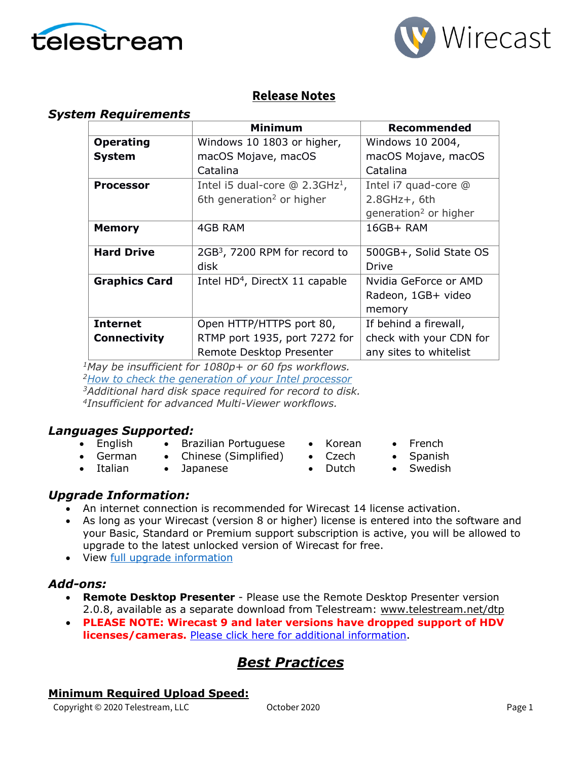



## **Release Notes**

#### *System Requirements*

|                      | <b>Minimum</b>                               | Recommended                       |
|----------------------|----------------------------------------------|-----------------------------------|
| <b>Operating</b>     | Windows 10 1803 or higher,                   | Windows 10 2004,                  |
| <b>System</b>        | macOS Mojave, macOS                          | macOS Mojave, macOS               |
|                      | Catalina                                     | Catalina                          |
| <b>Processor</b>     | Intel i5 dual-core $@$ 2.3GHz <sup>1</sup> , | Intel i7 quad-core @              |
|                      | 6th generation <sup>2</sup> or higher        | $2.8$ GHz+, 6th                   |
|                      |                                              | generation <sup>2</sup> or higher |
| <b>Memory</b>        | <b>4GB RAM</b>                               | 16GB+ RAM                         |
|                      |                                              |                                   |
| <b>Hard Drive</b>    | 2GB <sup>3</sup> , 7200 RPM for record to    | 500GB+, Solid State OS            |
|                      | disk                                         | Drive                             |
| <b>Graphics Card</b> | Intel HD <sup>4</sup> , DirectX 11 capable   | Nvidia GeForce or AMD             |
|                      |                                              | Radeon, 1GB+ video                |
|                      |                                              | memory                            |
| <b>Internet</b>      | Open HTTP/HTTPS port 80,                     | If behind a firewall,             |
| <b>Connectivity</b>  | RTMP port 1935, port 7272 for                | check with your CDN for           |
|                      | Remote Desktop Presenter                     | any sites to whitelist            |

*<sup>1</sup>May be insufficient for 1080p+ or 60 fps workflows.*

*<sup>2</sup>[How to check the generation](http://www.telestream.net/telestream-support/wire-cast/faq.htm?kbURL=http://telestream.force.com/kb/articles/Knowledge_Article/Wirecast-How-to-check-the-generation-of-your-Intel-processor/) of your Intel processor*

*<sup>3</sup>Additional hard disk space required for record to disk.*

*4 Insufficient for advanced Multi-Viewer workflows.*

### *Languages Supported:*

- English • Brazilian Portuguese
- German • Chinese (Simplified)
- Italian • Japanese
- Korean • Czech

• Dutch

- French
	- Spanish
	- **Swedish**

### *Upgrade Information:*

- An internet connection is recommended for Wirecast 14 license activation.
- As long as your Wirecast (version 8 or higher) license is entered into the software and your Basic, Standard or Premium support subscription is active, you will be allowed to upgrade to the latest unlocked version of Wirecast for free.
- View [full upgrade information](http://www.telestream.net/wirecast/upgrade.htm#upgrade)

### *Add-ons:*

- **Remote Desktop Presenter**  Please use the Remote Desktop Presenter version 2.0.8, available as a separate download from Telestream: [www.telestream.net/dtp](http://www.telestream.net/dtp)
- **PLEASE NOTE: Wirecast 9 and later versions have dropped support of HDV licenses/cameras.** [Please click here for additional information](http://www.telestream.net/telestream-support/wire-cast/faq.htm?kbURL=http://telestream.force.com/kb/articles/Knowledge_Article/Wirecast-HDV-Firewire-No-longer-Supported/).

# *Best Practices*

#### **Minimum Required Upload Speed:**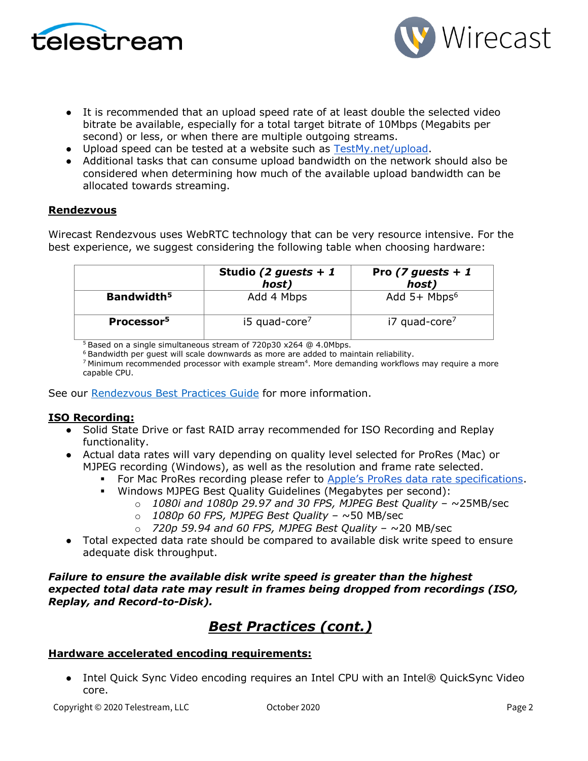

- It is recommended that an upload speed rate of at least double the selected video bitrate be available, especially for a total target bitrate of 10Mbps (Megabits per second) or less, or when there are multiple outgoing streams.
- Upload speed can be tested at a website such as [TestMy.net/upload.](http://testmy.net/upload)
- Additional tasks that can consume upload bandwidth on the network should also be considered when determining how much of the available upload bandwidth can be allocated towards streaming.

#### **Rendezvous**

Wirecast Rendezvous uses WebRTC technology that can be very resource intensive. For the best experience, we suggest considering the following table when choosing hardware:

|                        | Studio (2 guests + 1<br>host) | Pro (7 guests + 1<br>host)  |
|------------------------|-------------------------------|-----------------------------|
| Bandwidth <sup>5</sup> | Add 4 Mbps                    | Add $5+$ Mbps <sup>6</sup>  |
| Processor <sup>5</sup> | $i5$ quad-core <sup>7</sup>   | $i7$ quad-core <sup>7</sup> |

<sup>5</sup> Based on a single simultaneous stream of 720p30 x264 @ 4.0Mbps.

<sup>6</sup> Bandwidth per guest will scale downwards as more are added to maintain reliability.

 $7$  Minimum recommended processor with example stream<sup>4</sup>. More demanding workflows may require a more capable CPU.

See our [Rendezvous Best Practices Guide](http://www.telestream.net/pdfs/technical/Wirecast-Rendezvous-Best-Practices-Guide.pdf) for more information.

#### **ISO Recording:**

- Solid State Drive or fast RAID array recommended for ISO Recording and Replay functionality.
- Actual data rates will vary depending on quality level selected for ProRes (Mac) or MJPEG recording (Windows), as well as the resolution and frame rate selected.
	- For Mac ProRes recording please refer to [Apple's ProRes data rate specifications](https://en.wikipedia.org/wiki/Apple_ProRes#ProRes-Overview).
	- Windows MJPEG Best Quality Guidelines (Megabytes per second):
		- $\circ$  1080i and 1080p 29.97 and 30 FPS, MJPEG Best Quality  $\sim$ 25MB/sec
			- o *1080p 60 FPS, MJPEG Best Quality* ~50 MB/sec
			- o *720p 59.94 and 60 FPS, MJPEG Best Quality* ~20 MB/sec
- Total expected data rate should be compared to available disk write speed to ensure adequate disk throughput.

#### *Failure to ensure the available disk write speed is greater than the highest expected total data rate may result in frames being dropped from recordings (ISO, Replay, and Record-to-Disk).*

## *Best Practices (cont.)*

#### **Hardware accelerated encoding requirements:**

● Intel Quick Sync Video encoding requires an Intel CPU with an Intel® QuickSync Video core[.](http://ark.intel.com/search/advanced?QuickSyncVideo=true&MarketSegment=DT)

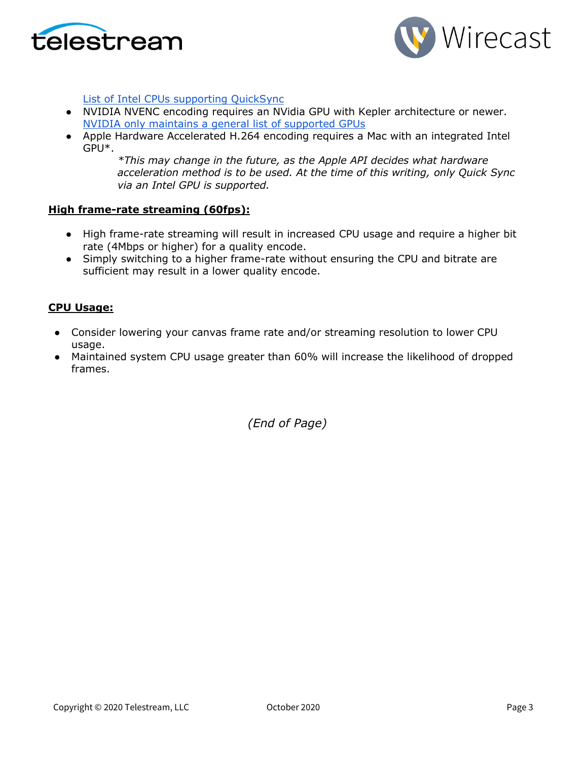



[List of Intel CPUs supporting QuickSync](https://ark.intel.com/content/www/us/en/ark/search/featurefilter.html?productType=873&0_QuickSyncVideo=True)

- NVIDIA NVENC encoding requires an NVidia GPU with Kepler architecture or newer[.](https://developer.nvidia.com/nvidia-video-codec-sdk) [NVIDIA only maintains a general list of supported GPUs](https://developer.nvidia.com/nvidia-video-codec-sdk)
- Apple Hardware Accelerated H.264 encoding requires a Mac with an integrated Intel GPU\*.

*\*This may change in the future, as the Apple API decides what hardware acceleration method is to be used. At the time of this writing, only Quick Sync via an Intel GPU is supported.*

#### **High frame-rate streaming (60fps):**

- High frame-rate streaming will result in increased CPU usage and require a higher bit rate (4Mbps or higher) for a quality encode.
- Simply switching to a higher frame-rate without ensuring the CPU and bitrate are sufficient may result in a lower quality encode.

#### **CPU Usage:**

- Consider lowering your canvas frame rate and/or streaming resolution to lower CPU usage.
- Maintained system CPU usage greater than 60% will increase the likelihood of dropped frames.

*(End of Page)*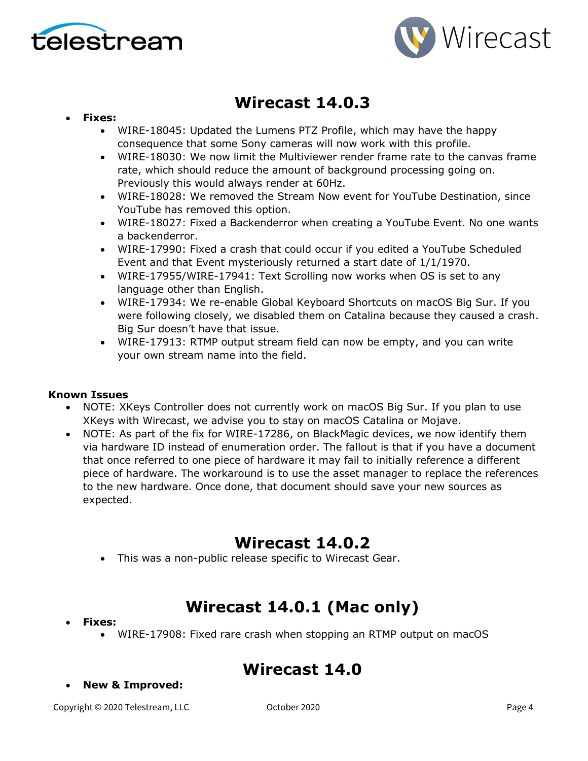



# **Wirecast 14.0.3**

#### • **Fixes:**

- WIRE-18045: Updated the Lumens PTZ Profile, which may have the happy consequence that some Sony cameras will now work with this profile.
- WIRE-18030: We now limit the Multiviewer render frame rate to the canvas frame rate, which should reduce the amount of background processing going on. Previously this would always render at 60Hz.
- WIRE-18028: We removed the Stream Now event for YouTube Destination, since YouTube has removed this option.
- WIRE-18027: Fixed a Backenderror when creating a YouTube Event. No one wants a backenderror.
- WIRE-17990: Fixed a crash that could occur if you edited a YouTube Scheduled Event and that Event mysteriously returned a start date of 1/1/1970.
- WIRE-17955/WIRE-17941: Text Scrolling now works when OS is set to any language other than English.
- WIRE-17934: We re-enable Global Keyboard Shortcuts on macOS Big Sur. If you were following closely, we disabled them on Catalina because they caused a crash. Big Sur doesn't have that issue.
- WIRE-17913: RTMP output stream field can now be empty, and you can write your own stream name into the field.

#### **Known Issues**

- NOTE: XKeys Controller does not currently work on macOS Big Sur. If you plan to use XKeys with Wirecast, we advise you to stay on macOS Catalina or Mojave.
- NOTE: As part of the fix for WIRE-17286, on BlackMagic devices, we now identify them via hardware ID instead of enumeration order. The fallout is that if you have a document that once referred to one piece of hardware it may fail to initially reference a different piece of hardware. The workaround is to use the asset manager to replace the references to the new hardware. Once done, that document should save your new sources as expected.

## **Wirecast 14.0.2**

• This was a non-public release specific to Wirecast Gear.

# **Wirecast 14.0.1 (Mac only)**

- **Fixes:**
	- WIRE-17908: Fixed rare crash when stopping an RTMP output on macOS

# **Wirecast 14.0**

• **New & Improved:**

Copyright © 2020 Telestream, LLC October 2020 Page 4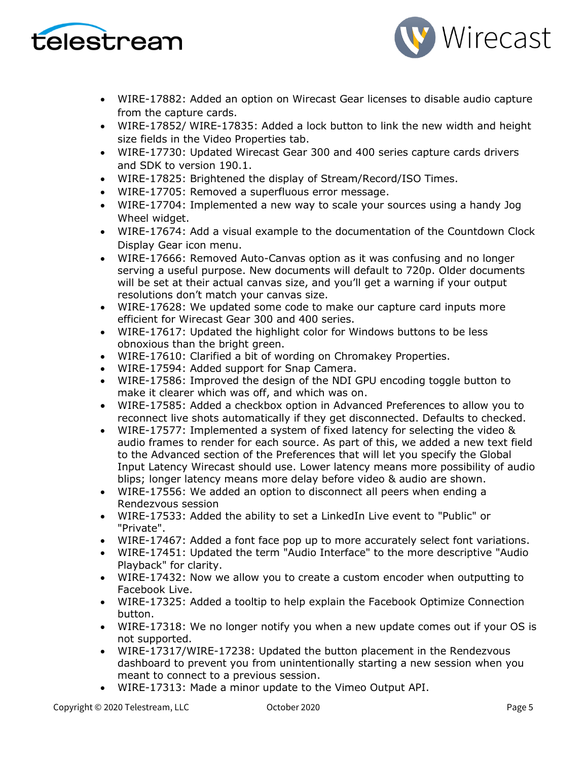



- WIRE-17882: Added an option on Wirecast Gear licenses to disable audio capture from the capture cards.
- WIRE-17852/ WIRE-17835: Added a lock button to link the new width and height size fields in the Video Properties tab.
- WIRE-17730: Updated Wirecast Gear 300 and 400 series capture cards drivers and SDK to version 190.1.
- WIRE-17825: Brightened the display of Stream/Record/ISO Times.
- WIRE-17705: Removed a superfluous error message.
- WIRE-17704: Implemented a new way to scale your sources using a handy Jog Wheel widget.
- WIRE-17674: Add a visual example to the documentation of the Countdown Clock Display Gear icon menu.
- WIRE-17666: Removed Auto-Canvas option as it was confusing and no longer serving a useful purpose. New documents will default to 720p. Older documents will be set at their actual canvas size, and you'll get a warning if your output resolutions don't match your canvas size.
- WIRE-17628: We updated some code to make our capture card inputs more efficient for Wirecast Gear 300 and 400 series.
- WIRE-17617: Updated the highlight color for Windows buttons to be less obnoxious than the bright green.
- WIRE-17610: Clarified a bit of wording on Chromakey Properties.
- WIRE-17594: Added support for Snap Camera.
- WIRE-17586: Improved the design of the NDI GPU encoding toggle button to make it clearer which was off, and which was on.
- WIRE-17585: Added a checkbox option in Advanced Preferences to allow you to reconnect live shots automatically if they get disconnected. Defaults to checked.
- WIRE-17577: Implemented a system of fixed latency for selecting the video & audio frames to render for each source. As part of this, we added a new text field to the Advanced section of the Preferences that will let you specify the Global Input Latency Wirecast should use. Lower latency means more possibility of audio blips; longer latency means more delay before video & audio are shown.
- WIRE-17556: We added an option to disconnect all peers when ending a Rendezvous session
- WIRE-17533: Added the ability to set a LinkedIn Live event to "Public" or "Private".
- WIRE-17467: Added a font face pop up to more accurately select font variations.
- WIRE-17451: Updated the term "Audio Interface" to the more descriptive "Audio Playback" for clarity.
- WIRE-17432: Now we allow you to create a custom encoder when outputting to Facebook Live.
- WIRE-17325: Added a tooltip to help explain the Facebook Optimize Connection button.
- WIRE-17318: We no longer notify you when a new update comes out if your OS is not supported.
- WIRE-17317/WIRE-17238: Updated the button placement in the Rendezvous dashboard to prevent you from unintentionally starting a new session when you meant to connect to a previous session.
- WIRE-17313: Made a minor update to the Vimeo Output API.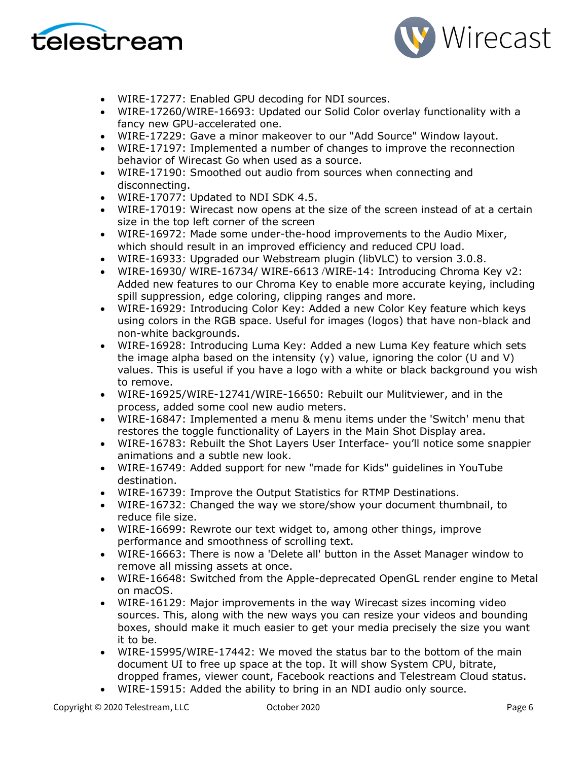



- WIRE-17277: Enabled GPU decoding for NDI sources.
- WIRE-17260/WIRE-16693: Updated our Solid Color overlay functionality with a fancy new GPU-accelerated one.
- WIRE-17229: Gave a minor makeover to our "Add Source" Window layout.
- WIRE-17197: Implemented a number of changes to improve the reconnection behavior of Wirecast Go when used as a source.
- WIRE-17190: Smoothed out audio from sources when connecting and disconnecting.
- WIRE-17077: Updated to NDI SDK 4.5.
- WIRE-17019: Wirecast now opens at the size of the screen instead of at a certain size in the top left corner of the screen
- WIRE-16972: Made some under-the-hood improvements to the Audio Mixer, which should result in an improved efficiency and reduced CPU load.
- WIRE-16933: Upgraded our Webstream plugin (libVLC) to version 3.0.8.
- WIRE-16930/ WIRE-16734/ WIRE-6613 /WIRE-14: Introducing Chroma Key v2: Added new features to our Chroma Key to enable more accurate keying, including spill suppression, edge coloring, clipping ranges and more.
- WIRE-16929: Introducing Color Key: Added a new Color Key feature which keys using colors in the RGB space. Useful for images (logos) that have non-black and non-white backgrounds.
- WIRE-16928: Introducing Luma Key: Added a new Luma Key feature which sets the image alpha based on the intensity (y) value, ignoring the color (U and V) values. This is useful if you have a logo with a white or black background you wish to remove.
- WIRE-16925/WIRE-12741/WIRE-16650: Rebuilt our Mulitviewer, and in the process, added some cool new audio meters.
- WIRE-16847: Implemented a menu & menu items under the 'Switch' menu that restores the toggle functionality of Layers in the Main Shot Display area.
- WIRE-16783: Rebuilt the Shot Layers User Interface- you'll notice some snappier animations and a subtle new look.
- WIRE-16749: Added support for new "made for Kids" guidelines in YouTube destination.
- WIRE-16739: Improve the Output Statistics for RTMP Destinations.
- WIRE-16732: Changed the way we store/show your document thumbnail, to reduce file size.
- WIRE-16699: Rewrote our text widget to, among other things, improve performance and smoothness of scrolling text.
- WIRE-16663: There is now a 'Delete all' button in the Asset Manager window to remove all missing assets at once.
- WIRE-16648: Switched from the Apple-deprecated OpenGL render engine to Metal on macOS.
- WIRE-16129: Major improvements in the way Wirecast sizes incoming video sources. This, along with the new ways you can resize your videos and bounding boxes, should make it much easier to get your media precisely the size you want it to be.
- WIRE-15995/WIRE-17442: We moved the status bar to the bottom of the main document UI to free up space at the top. It will show System CPU, bitrate, dropped frames, viewer count, Facebook reactions and Telestream Cloud status.
- WIRE-15915: Added the ability to bring in an NDI audio only source.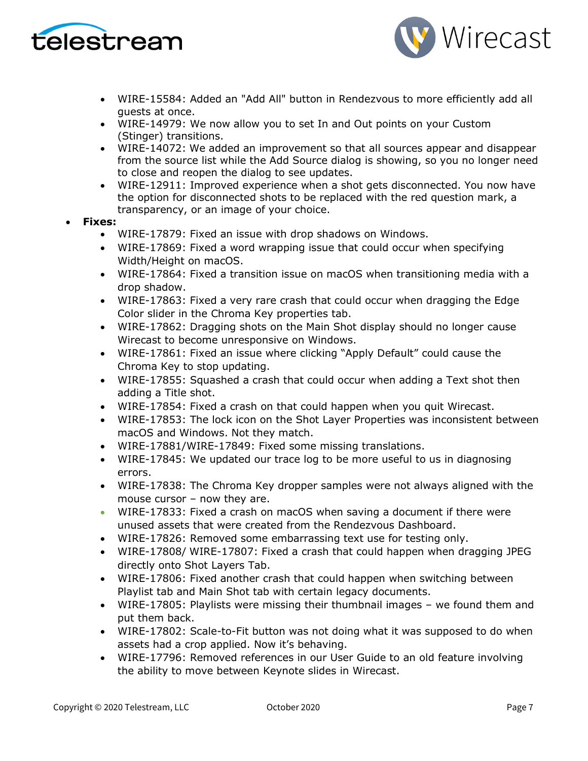



- WIRE-15584: Added an "Add All" button in Rendezvous to more efficiently add all guests at once.
- WIRE-14979: We now allow you to set In and Out points on your Custom (Stinger) transitions.
- WIRE-14072: We added an improvement so that all sources appear and disappear from the source list while the Add Source dialog is showing, so you no longer need to close and reopen the dialog to see updates.
- WIRE-12911: Improved experience when a shot gets disconnected. You now have the option for disconnected shots to be replaced with the red question mark, a transparency, or an image of your choice.
- **Fixes:**
	- WIRE-17879: Fixed an issue with drop shadows on Windows.
	- WIRE-17869: Fixed a word wrapping issue that could occur when specifying Width/Height on macOS.
	- WIRE-17864: Fixed a transition issue on macOS when transitioning media with a drop shadow.
	- WIRE-17863: Fixed a very rare crash that could occur when dragging the Edge Color slider in the Chroma Key properties tab.
	- WIRE-17862: Dragging shots on the Main Shot display should no longer cause Wirecast to become unresponsive on Windows.
	- WIRE-17861: Fixed an issue where clicking "Apply Default" could cause the Chroma Key to stop updating.
	- WIRE-17855: Squashed a crash that could occur when adding a Text shot then adding a Title shot.
	- WIRE-17854: Fixed a crash on that could happen when you quit Wirecast.
	- WIRE-17853: The lock icon on the Shot Layer Properties was inconsistent between macOS and Windows. Not they match.
	- WIRE-17881/WIRE-17849: Fixed some missing translations.
	- WIRE-17845: We updated our trace log to be more useful to us in diagnosing errors.
	- WIRE-17838: The Chroma Key dropper samples were not always aligned with the mouse cursor – now they are.
	- WIRE-17833: Fixed a crash on macOS when saving a document if there were unused assets that were created from the Rendezvous Dashboard.
	- WIRE-17826: Removed some embarrassing text use for testing only.
	- WIRE-17808/ WIRE-17807: Fixed a crash that could happen when dragging JPEG directly onto Shot Layers Tab.
	- WIRE-17806: Fixed another crash that could happen when switching between Playlist tab and Main Shot tab with certain legacy documents.
	- WIRE-17805: Playlists were missing their thumbnail images we found them and put them back.
	- WIRE-17802: Scale-to-Fit button was not doing what it was supposed to do when assets had a crop applied. Now it's behaving.
	- WIRE-17796: Removed references in our User Guide to an old feature involving the ability to move between Keynote slides in Wirecast.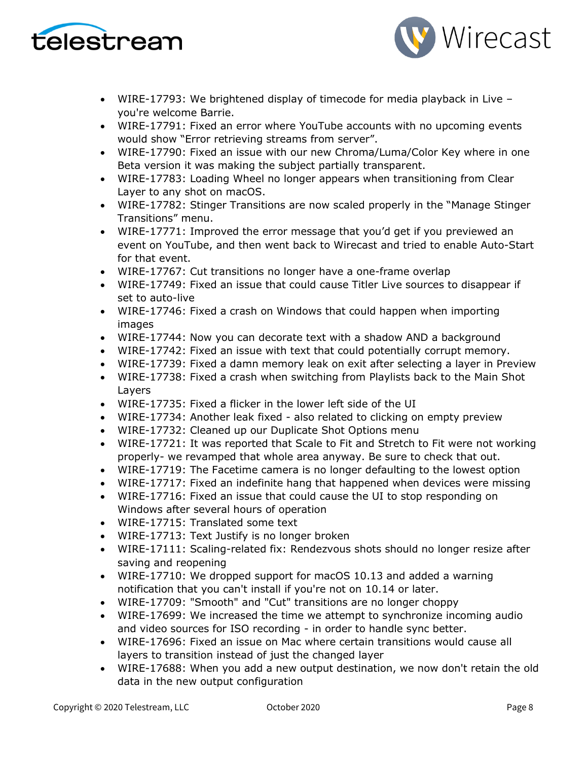



- WIRE-17793: We brightened display of timecode for media playback in Live you're welcome Barrie.
- WIRE-17791: Fixed an error where YouTube accounts with no upcoming events would show "Error retrieving streams from server".
- WIRE-17790: Fixed an issue with our new Chroma/Luma/Color Key where in one Beta version it was making the subject partially transparent.
- WIRE-17783: Loading Wheel no longer appears when transitioning from Clear Layer to any shot on macOS.
- WIRE-17782: Stinger Transitions are now scaled properly in the "Manage Stinger Transitions" menu.
- WIRE-17771: Improved the error message that you'd get if you previewed an event on YouTube, and then went back to Wirecast and tried to enable Auto-Start for that event.
- WIRE-17767: Cut transitions no longer have a one-frame overlap
- WIRE-17749: Fixed an issue that could cause Titler Live sources to disappear if set to auto-live
- WIRE-17746: Fixed a crash on Windows that could happen when importing images
- WIRE-17744: Now you can decorate text with a shadow AND a background
- WIRE-17742: Fixed an issue with text that could potentially corrupt memory.
- WIRE-17739: Fixed a damn memory leak on exit after selecting a layer in Preview
- WIRE-17738: Fixed a crash when switching from Playlists back to the Main Shot Layers
- WIRE-17735: Fixed a flicker in the lower left side of the UI
- WIRE-17734: Another leak fixed also related to clicking on empty preview
- WIRE-17732: Cleaned up our Duplicate Shot Options menu
- WIRE-17721: It was reported that Scale to Fit and Stretch to Fit were not working properly- we revamped that whole area anyway. Be sure to check that out.
- WIRE-17719: The Facetime camera is no longer defaulting to the lowest option
- WIRE-17717: Fixed an indefinite hang that happened when devices were missing
- WIRE-17716: Fixed an issue that could cause the UI to stop responding on Windows after several hours of operation
- WIRE-17715: Translated some text
- WIRE-17713: Text Justify is no longer broken
- WIRE-17111: Scaling-related fix: Rendezvous shots should no longer resize after saving and reopening
- WIRE-17710: We dropped support for macOS 10.13 and added a warning notification that you can't install if you're not on 10.14 or later.
- WIRE-17709: "Smooth" and "Cut" transitions are no longer choppy
- WIRE-17699: We increased the time we attempt to synchronize incoming audio and video sources for ISO recording - in order to handle sync better.
- WIRE-17696: Fixed an issue on Mac where certain transitions would cause all layers to transition instead of just the changed layer
- WIRE-17688: When you add a new output destination, we now don't retain the old data in the new output configuration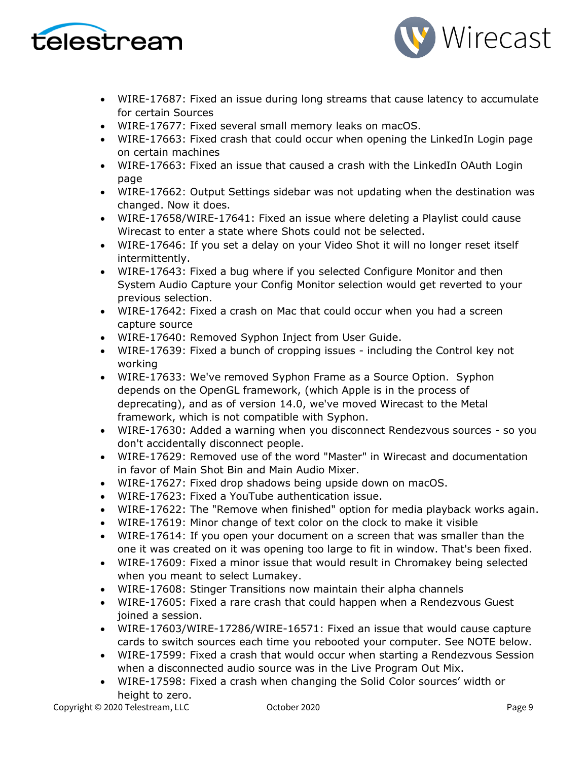



- WIRE-17687: Fixed an issue during long streams that cause latency to accumulate for certain Sources
- WIRE-17677: Fixed several small memory leaks on macOS.
- WIRE-17663: Fixed crash that could occur when opening the LinkedIn Login page on certain machines
- WIRE-17663: Fixed an issue that caused a crash with the LinkedIn OAuth Login page
- WIRE-17662: Output Settings sidebar was not updating when the destination was changed. Now it does.
- WIRE-17658/WIRE-17641: Fixed an issue where deleting a Playlist could cause Wirecast to enter a state where Shots could not be selected.
- WIRE-17646: If you set a delay on your Video Shot it will no longer reset itself intermittently.
- WIRE-17643: Fixed a bug where if you selected Configure Monitor and then System Audio Capture your Config Monitor selection would get reverted to your previous selection.
- WIRE-17642: Fixed a crash on Mac that could occur when you had a screen capture source
- WIRE-17640: Removed Syphon Inject from User Guide.
- WIRE-17639: Fixed a bunch of cropping issues including the Control key not working
- WIRE-17633: We've removed Syphon Frame as a Source Option. Syphon depends on the OpenGL framework, (which Apple is in the process of deprecating), and as of version 14.0, we've moved Wirecast to the Metal framework, which is not compatible with Syphon.
- WIRE-17630: Added a warning when you disconnect Rendezvous sources so you don't accidentally disconnect people.
- WIRE-17629: Removed use of the word "Master" in Wirecast and documentation in favor of Main Shot Bin and Main Audio Mixer.
- WIRE-17627: Fixed drop shadows being upside down on macOS.
- WIRE-17623: Fixed a YouTube authentication issue.
- WIRE-17622: The "Remove when finished" option for media playback works again.
- WIRE-17619: Minor change of text color on the clock to make it visible
- WIRE-17614: If you open your document on a screen that was smaller than the one it was created on it was opening too large to fit in window. That's been fixed.
- WIRE-17609: Fixed a minor issue that would result in Chromakey being selected when you meant to select Lumakey.
- WIRE-17608: Stinger Transitions now maintain their alpha channels
- WIRE-17605: Fixed a rare crash that could happen when a Rendezvous Guest joined a session.
- WIRE-17603/WIRE-17286/WIRE-16571: Fixed an issue that would cause capture cards to switch sources each time you rebooted your computer. See NOTE below.
- WIRE-17599: Fixed a crash that would occur when starting a Rendezvous Session when a disconnected audio source was in the Live Program Out Mix.
- WIRE-17598: Fixed a crash when changing the Solid Color sources' width or height to zero.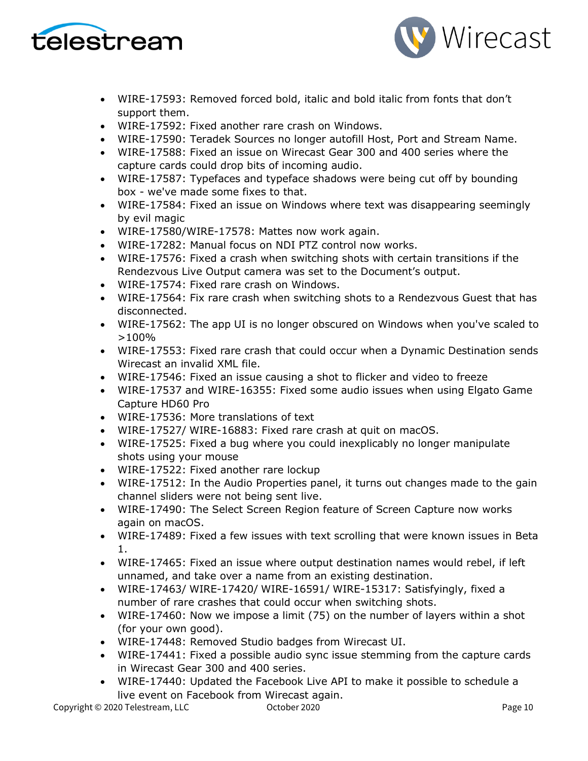



- WIRE-17593: Removed forced bold, italic and bold italic from fonts that don't support them.
- WIRE-17592: Fixed another rare crash on Windows.
- WIRE-17590: Teradek Sources no longer autofill Host, Port and Stream Name.
- WIRE-17588: Fixed an issue on Wirecast Gear 300 and 400 series where the capture cards could drop bits of incoming audio.
- WIRE-17587: Typefaces and typeface shadows were being cut off by bounding box - we've made some fixes to that.
- WIRE-17584: Fixed an issue on Windows where text was disappearing seemingly by evil magic
- WIRE-17580/WIRE-17578: Mattes now work again.
- WIRE-17282: Manual focus on NDI PTZ control now works.
- WIRE-17576: Fixed a crash when switching shots with certain transitions if the Rendezvous Live Output camera was set to the Document's output.
- WIRE-17574: Fixed rare crash on Windows.
- WIRE-17564: Fix rare crash when switching shots to a Rendezvous Guest that has disconnected.
- WIRE-17562: The app UI is no longer obscured on Windows when you've scaled to >100%
- WIRE-17553: Fixed rare crash that could occur when a Dynamic Destination sends Wirecast an invalid XML file.
- WIRE-17546: Fixed an issue causing a shot to flicker and video to freeze
- WIRE-17537 and WIRE-16355: Fixed some audio issues when using Elgato Game Capture HD60 Pro
- WIRE-17536: More translations of text
- WIRE-17527/ WIRE-16883: Fixed rare crash at quit on macOS.
- WIRE-17525: Fixed a bug where you could inexplicably no longer manipulate shots using your mouse
- WIRE-17522: Fixed another rare lockup
- WIRE-17512: In the Audio Properties panel, it turns out changes made to the gain channel sliders were not being sent live.
- WIRE-17490: The Select Screen Region feature of Screen Capture now works again on macOS.
- WIRE-17489: Fixed a few issues with text scrolling that were known issues in Beta 1.
- WIRE-17465: Fixed an issue where output destination names would rebel, if left unnamed, and take over a name from an existing destination.
- WIRE-17463/ WIRE-17420/ WIRE-16591/ WIRE-15317: Satisfyingly, fixed a number of rare crashes that could occur when switching shots.
- WIRE-17460: Now we impose a limit (75) on the number of layers within a shot (for your own good).
- WIRE-17448: Removed Studio badges from Wirecast UI.
- WIRE-17441: Fixed a possible audio sync issue stemming from the capture cards in Wirecast Gear 300 and 400 series.
- WIRE-17440: Updated the Facebook Live API to make it possible to schedule a live event on Facebook from Wirecast again.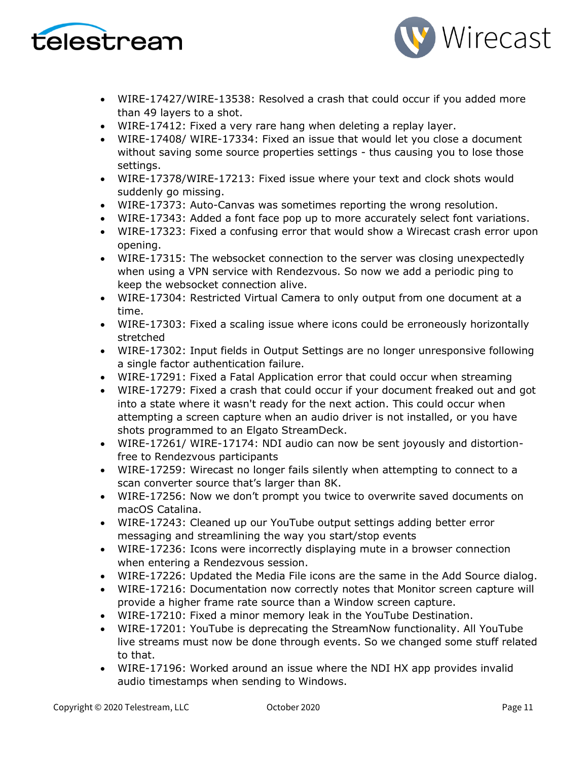



- WIRE-17427/WIRE-13538: Resolved a crash that could occur if you added more than 49 layers to a shot.
- WIRE-17412: Fixed a very rare hang when deleting a replay layer.
- WIRE-17408/ WIRE-17334: Fixed an issue that would let you close a document without saving some source properties settings - thus causing you to lose those settings.
- WIRE-17378/WIRE-17213: Fixed issue where your text and clock shots would suddenly go missing.
- WIRE-17373: Auto-Canvas was sometimes reporting the wrong resolution.
- WIRE-17343: Added a font face pop up to more accurately select font variations.
- WIRE-17323: Fixed a confusing error that would show a Wirecast crash error upon opening.
- WIRE-17315: The websocket connection to the server was closing unexpectedly when using a VPN service with Rendezvous. So now we add a periodic ping to keep the websocket connection alive.
- WIRE-17304: Restricted Virtual Camera to only output from one document at a time.
- WIRE-17303: Fixed a scaling issue where icons could be erroneously horizontally stretched
- WIRE-17302: Input fields in Output Settings are no longer unresponsive following a single factor authentication failure.
- WIRE-17291: Fixed a Fatal Application error that could occur when streaming
- WIRE-17279: Fixed a crash that could occur if your document freaked out and got into a state where it wasn't ready for the next action. This could occur when attempting a screen capture when an audio driver is not installed, or you have shots programmed to an Elgato StreamDeck.
- WIRE-17261/ WIRE-17174: NDI audio can now be sent joyously and distortionfree to Rendezvous participants
- WIRE-17259: Wirecast no longer fails silently when attempting to connect to a scan converter source that's larger than 8K.
- WIRE-17256: Now we don't prompt you twice to overwrite saved documents on macOS Catalina.
- WIRE-17243: Cleaned up our YouTube output settings adding better error messaging and streamlining the way you start/stop events
- WIRE-17236: Icons were incorrectly displaying mute in a browser connection when entering a Rendezvous session.
- WIRE-17226: Updated the Media File icons are the same in the Add Source dialog.
- WIRE-17216: Documentation now correctly notes that Monitor screen capture will provide a higher frame rate source than a Window screen capture.
- WIRE-17210: Fixed a minor memory leak in the YouTube Destination.
- WIRE-17201: YouTube is deprecating the StreamNow functionality. All YouTube live streams must now be done through events. So we changed some stuff related to that.
- WIRE-17196: Worked around an issue where the NDI HX app provides invalid audio timestamps when sending to Windows.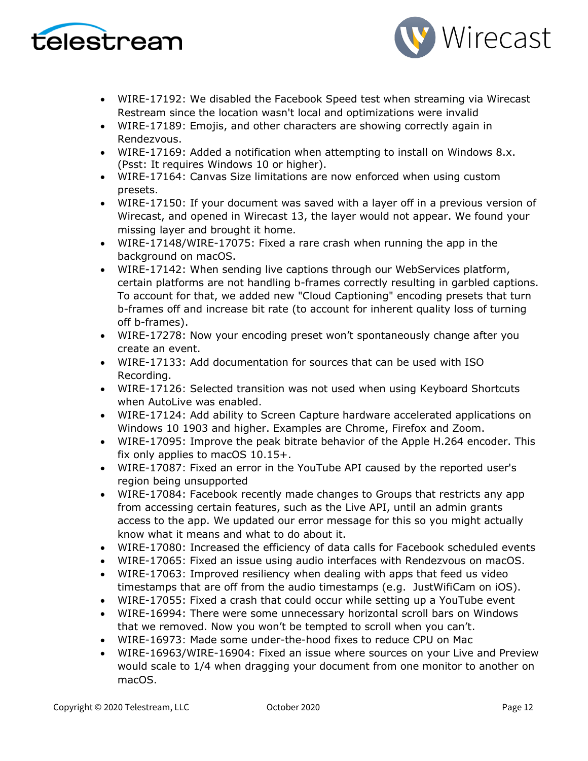



- WIRE-17192: We disabled the Facebook Speed test when streaming via Wirecast Restream since the location wasn't local and optimizations were invalid
- WIRE-17189: Emojis, and other characters are showing correctly again in Rendezvous.
- WIRE-17169: Added a notification when attempting to install on Windows 8.x. (Psst: It requires Windows 10 or higher).
- WIRE-17164: Canvas Size limitations are now enforced when using custom presets.
- WIRE-17150: If your document was saved with a layer off in a previous version of Wirecast, and opened in Wirecast 13, the layer would not appear. We found your missing layer and brought it home.
- WIRE-17148/WIRE-17075: Fixed a rare crash when running the app in the background on macOS.
- WIRE-17142: When sending live captions through our WebServices platform, certain platforms are not handling b-frames correctly resulting in garbled captions. To account for that, we added new "Cloud Captioning" encoding presets that turn b-frames off and increase bit rate (to account for inherent quality loss of turning off b-frames).
- WIRE-17278: Now your encoding preset won't spontaneously change after you create an event.
- WIRE-17133: Add documentation for sources that can be used with ISO Recording.
- WIRE-17126: Selected transition was not used when using Keyboard Shortcuts when AutoLive was enabled.
- WIRE-17124: Add ability to Screen Capture hardware accelerated applications on Windows 10 1903 and higher. Examples are Chrome, Firefox and Zoom.
- WIRE-17095: Improve the peak bitrate behavior of the Apple H.264 encoder. This fix only applies to macOS 10.15+.
- WIRE-17087: Fixed an error in the YouTube API caused by the reported user's region being unsupported
- WIRE-17084: Facebook recently made changes to Groups that restricts any app from accessing certain features, such as the Live API, until an admin grants access to the app. We updated our error message for this so you might actually know what it means and what to do about it.
- WIRE-17080: Increased the efficiency of data calls for Facebook scheduled events
- WIRE-17065: Fixed an issue using audio interfaces with Rendezvous on macOS.
- WIRE-17063: Improved resiliency when dealing with apps that feed us video timestamps that are off from the audio timestamps (e.g. JustWifiCam on iOS).
- WIRE-17055: Fixed a crash that could occur while setting up a YouTube event
- WIRE-16994: There were some unnecessary horizontal scroll bars on Windows that we removed. Now you won't be tempted to scroll when you can't.
- WIRE-16973: Made some under-the-hood fixes to reduce CPU on Mac
- WIRE-16963/WIRE-16904: Fixed an issue where sources on your Live and Preview would scale to 1/4 when dragging your document from one monitor to another on macOS.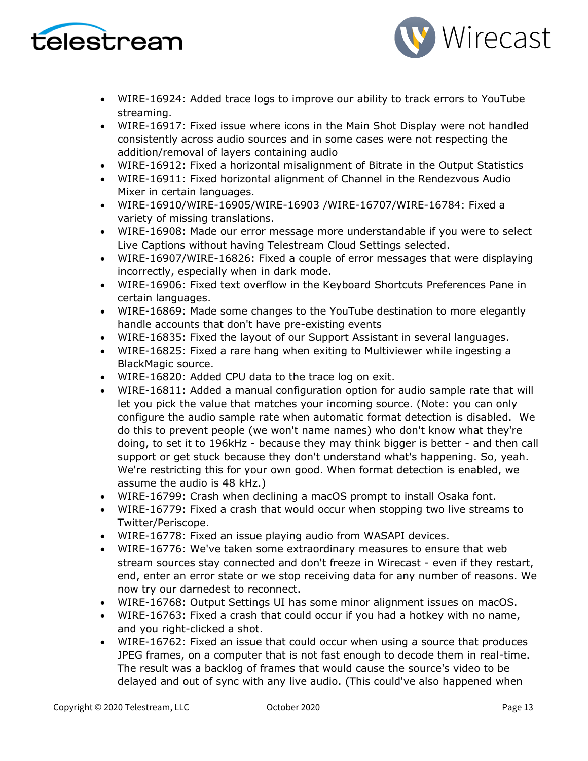



- WIRE-16924: Added trace logs to improve our ability to track errors to YouTube streaming.
- WIRE-16917: Fixed issue where icons in the Main Shot Display were not handled consistently across audio sources and in some cases were not respecting the addition/removal of layers containing audio
- WIRE-16912: Fixed a horizontal misalignment of Bitrate in the Output Statistics
- WIRE-16911: Fixed horizontal alignment of Channel in the Rendezvous Audio Mixer in certain languages.
- WIRE-16910/WIRE-16905/WIRE-16903 /WIRE-16707/WIRE-16784: Fixed a variety of missing translations.
- WIRE-16908: Made our error message more understandable if you were to select Live Captions without having Telestream Cloud Settings selected.
- WIRE-16907/WIRE-16826: Fixed a couple of error messages that were displaying incorrectly, especially when in dark mode.
- WIRE-16906: Fixed text overflow in the Keyboard Shortcuts Preferences Pane in certain languages.
- WIRE-16869: Made some changes to the YouTube destination to more elegantly handle accounts that don't have pre-existing events
- WIRE-16835: Fixed the layout of our Support Assistant in several languages.
- WIRE-16825: Fixed a rare hang when exiting to Multiviewer while ingesting a BlackMagic source.
- WIRE-16820: Added CPU data to the trace log on exit.
- WIRE-16811: Added a manual configuration option for audio sample rate that will let you pick the value that matches your incoming source. (Note: you can only configure the audio sample rate when automatic format detection is disabled. We do this to prevent people (we won't name names) who don't know what they're doing, to set it to 196kHz - because they may think bigger is better - and then call support or get stuck because they don't understand what's happening. So, yeah. We're restricting this for your own good. When format detection is enabled, we assume the audio is 48 kHz.)
- WIRE-16799: Crash when declining a macOS prompt to install Osaka font.
- WIRE-16779: Fixed a crash that would occur when stopping two live streams to Twitter/Periscope.
- WIRE-16778: Fixed an issue playing audio from WASAPI devices.
- WIRE-16776: We've taken some extraordinary measures to ensure that web stream sources stay connected and don't freeze in Wirecast - even if they restart, end, enter an error state or we stop receiving data for any number of reasons. We now try our darnedest to reconnect.
- WIRE-16768: Output Settings UI has some minor alignment issues on macOS.
- WIRE-16763: Fixed a crash that could occur if you had a hotkey with no name, and you right-clicked a shot.
- WIRE-16762: Fixed an issue that could occur when using a source that produces JPEG frames, on a computer that is not fast enough to decode them in real-time. The result was a backlog of frames that would cause the source's video to be delayed and out of sync with any live audio. (This could've also happened when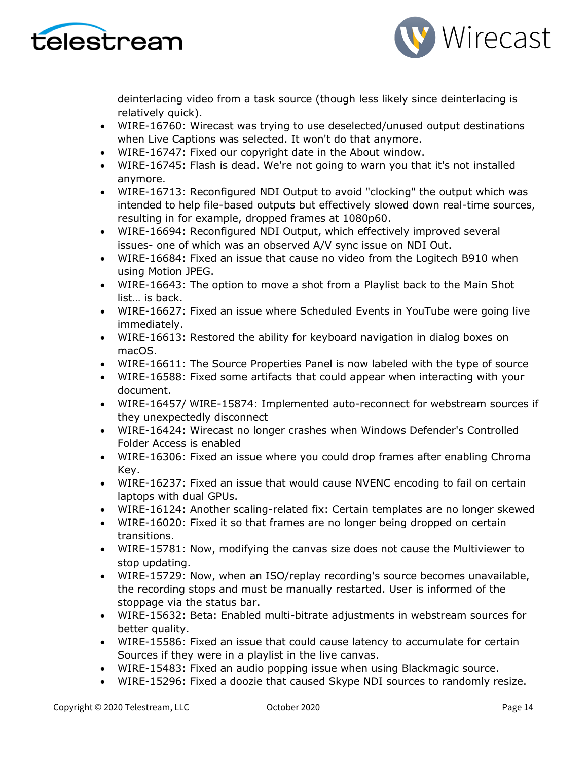



deinterlacing video from a task source (though less likely since deinterlacing is relatively quick).

- WIRE-16760: Wirecast was trying to use deselected/unused output destinations when Live Captions was selected. It won't do that anymore.
- WIRE-16747: Fixed our copyright date in the About window.
- WIRE-16745: Flash is dead. We're not going to warn you that it's not installed anymore.
- WIRE-16713: Reconfigured NDI Output to avoid "clocking" the output which was intended to help file-based outputs but effectively slowed down real-time sources, resulting in for example, dropped frames at 1080p60.
- WIRE-16694: Reconfigured NDI Output, which effectively improved several issues- one of which was an observed A/V sync issue on NDI Out.
- WIRE-16684: Fixed an issue that cause no video from the Logitech B910 when using Motion JPEG.
- WIRE-16643: The option to move a shot from a Playlist back to the Main Shot list… is back.
- WIRE-16627: Fixed an issue where Scheduled Events in YouTube were going live immediately.
- WIRE-16613: Restored the ability for keyboard navigation in dialog boxes on macOS.
- WIRE-16611: The Source Properties Panel is now labeled with the type of source
- WIRE-16588: Fixed some artifacts that could appear when interacting with your document.
- WIRE-16457/ WIRE-15874: Implemented auto-reconnect for webstream sources if they unexpectedly disconnect
- WIRE-16424: Wirecast no longer crashes when Windows Defender's Controlled Folder Access is enabled
- WIRE-16306: Fixed an issue where you could drop frames after enabling Chroma Key.
- WIRE-16237: Fixed an issue that would cause NVENC encoding to fail on certain laptops with dual GPUs.
- WIRE-16124: Another scaling-related fix: Certain templates are no longer skewed
- WIRE-16020: Fixed it so that frames are no longer being dropped on certain transitions.
- WIRE-15781: Now, modifying the canvas size does not cause the Multiviewer to stop updating.
- WIRE-15729: Now, when an ISO/replay recording's source becomes unavailable, the recording stops and must be manually restarted. User is informed of the stoppage via the status bar.
- WIRE-15632: Beta: Enabled multi-bitrate adjustments in webstream sources for better quality.
- WIRE-15586: Fixed an issue that could cause latency to accumulate for certain Sources if they were in a playlist in the live canvas.
- WIRE-15483: Fixed an audio popping issue when using Blackmagic source.
- WIRE-15296: Fixed a doozie that caused Skype NDI sources to randomly resize.